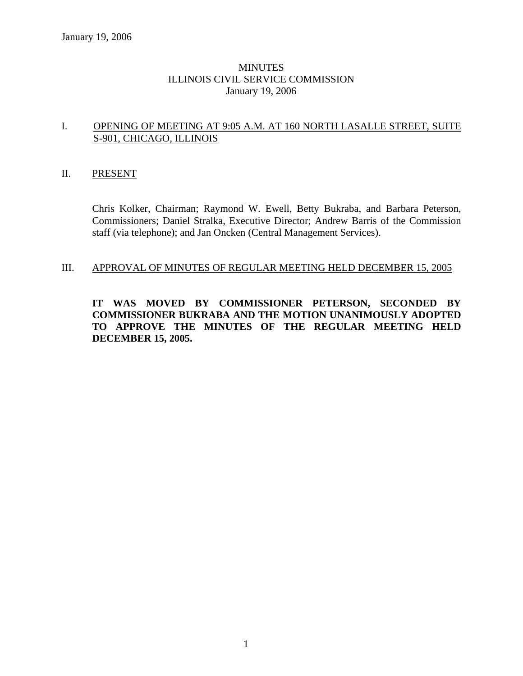## **MINUTES** ILLINOIS CIVIL SERVICE COMMISSION January 19, 2006

## I. OPENING OF MEETING AT 9:05 A.M. AT 160 NORTH LASALLE STREET, SUITE S-901, CHICAGO, ILLINOIS

### II. PRESENT

Chris Kolker, Chairman; Raymond W. Ewell, Betty Bukraba, and Barbara Peterson, Commissioners; Daniel Stralka, Executive Director; Andrew Barris of the Commission staff (via telephone); and Jan Oncken (Central Management Services).

## III. APPROVAL OF MINUTES OF REGULAR MEETING HELD DECEMBER 15, 2005

**IT WAS MOVED BY COMMISSIONER PETERSON, SECONDED BY COMMISSIONER BUKRABA AND THE MOTION UNANIMOUSLY ADOPTED TO APPROVE THE MINUTES OF THE REGULAR MEETING HELD DECEMBER 15, 2005.**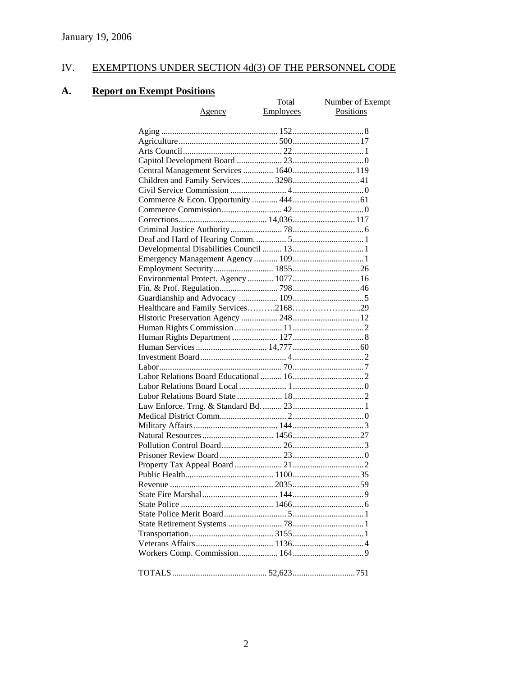# IV. EXEMPTIONS UNDER SECTION 4d(3) OF THE PERSONNEL CODE

# **A. Report on Exempt Positions**

| <u>Exempt Positions</u>               |           |                  |
|---------------------------------------|-----------|------------------|
|                                       | Total     | Number of Exempt |
| <u>Agency</u>                         | Employees | Positions        |
|                                       |           |                  |
|                                       |           |                  |
|                                       |           |                  |
|                                       |           |                  |
|                                       |           |                  |
| Central Management Services  1640 119 |           |                  |
| Children and Family Services 3298 41  |           |                  |
|                                       |           |                  |
|                                       |           |                  |
|                                       |           |                  |
|                                       |           |                  |
|                                       |           |                  |
|                                       |           |                  |
|                                       |           |                  |
|                                       |           |                  |
|                                       |           |                  |
|                                       |           |                  |
|                                       |           |                  |
|                                       |           |                  |
|                                       |           |                  |
|                                       |           |                  |
|                                       |           |                  |
|                                       |           |                  |
|                                       |           |                  |
|                                       |           |                  |
|                                       |           |                  |
|                                       |           |                  |
|                                       |           |                  |
|                                       |           |                  |
|                                       |           |                  |
|                                       |           |                  |
|                                       |           |                  |
|                                       |           |                  |
|                                       |           |                  |
|                                       |           |                  |
|                                       |           |                  |
|                                       |           |                  |
|                                       |           |                  |
|                                       |           |                  |
|                                       |           |                  |
|                                       |           |                  |
|                                       |           |                  |
|                                       |           |                  |
|                                       |           |                  |
|                                       |           |                  |
|                                       |           |                  |
|                                       |           |                  |
|                                       |           |                  |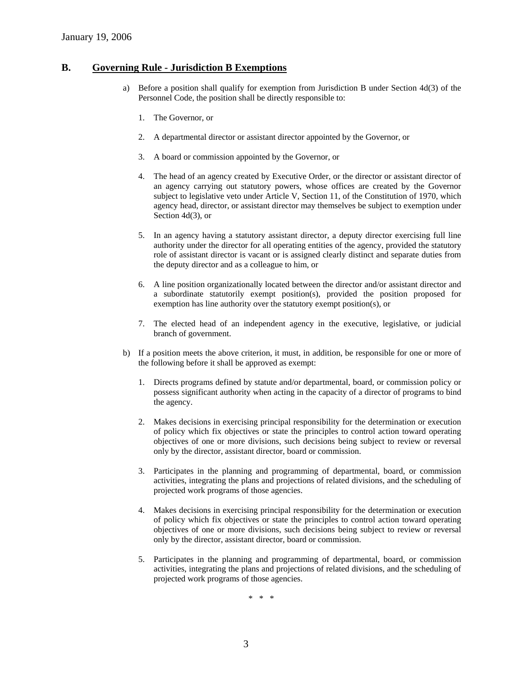#### **B. Governing Rule - Jurisdiction B Exemptions**

- a) Before a position shall qualify for exemption from Jurisdiction B under Section 4d(3) of the Personnel Code, the position shall be directly responsible to:
	- 1. The Governor, or
	- 2. A departmental director or assistant director appointed by the Governor, or
	- 3. A board or commission appointed by the Governor, or
	- 4. The head of an agency created by Executive Order, or the director or assistant director of an agency carrying out statutory powers, whose offices are created by the Governor subject to legislative veto under Article V, Section 11, of the Constitution of 1970, which agency head, director, or assistant director may themselves be subject to exemption under Section 4d(3), or
	- 5. In an agency having a statutory assistant director, a deputy director exercising full line authority under the director for all operating entities of the agency, provided the statutory role of assistant director is vacant or is assigned clearly distinct and separate duties from the deputy director and as a colleague to him, or
	- 6. A line position organizationally located between the director and/or assistant director and a subordinate statutorily exempt position(s), provided the position proposed for exemption has line authority over the statutory exempt position(s), or
	- 7. The elected head of an independent agency in the executive, legislative, or judicial branch of government.
- b) If a position meets the above criterion, it must, in addition, be responsible for one or more of the following before it shall be approved as exempt:
	- 1. Directs programs defined by statute and/or departmental, board, or commission policy or possess significant authority when acting in the capacity of a director of programs to bind the agency.
	- 2. Makes decisions in exercising principal responsibility for the determination or execution of policy which fix objectives or state the principles to control action toward operating objectives of one or more divisions, such decisions being subject to review or reversal only by the director, assistant director, board or commission.
	- 3. Participates in the planning and programming of departmental, board, or commission activities, integrating the plans and projections of related divisions, and the scheduling of projected work programs of those agencies.
	- 4. Makes decisions in exercising principal responsibility for the determination or execution of policy which fix objectives or state the principles to control action toward operating objectives of one or more divisions, such decisions being subject to review or reversal only by the director, assistant director, board or commission.
	- 5. Participates in the planning and programming of departmental, board, or commission activities, integrating the plans and projections of related divisions, and the scheduling of projected work programs of those agencies.

\* \* \*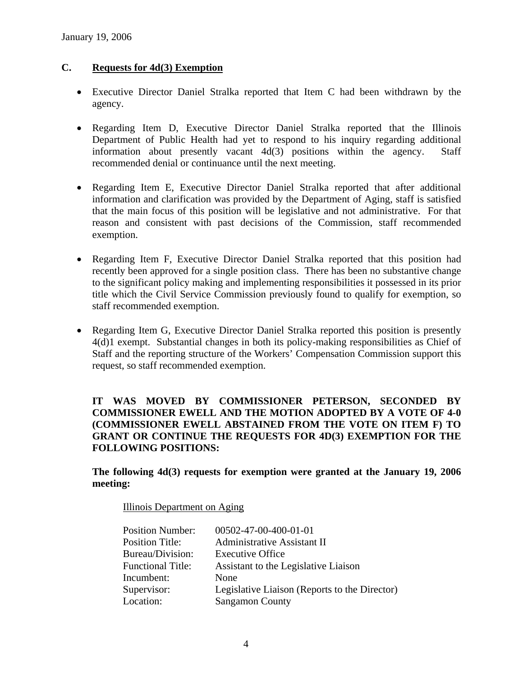## **C. Requests for 4d(3) Exemption**

- Executive Director Daniel Stralka reported that Item C had been withdrawn by the agency.
- Regarding Item D. Executive Director Daniel Stralka reported that the Illinois Department of Public Health had yet to respond to his inquiry regarding additional information about presently vacant 4d(3) positions within the agency. Staff recommended denial or continuance until the next meeting.
- Regarding Item E, Executive Director Daniel Stralka reported that after additional information and clarification was provided by the Department of Aging, staff is satisfied that the main focus of this position will be legislative and not administrative. For that reason and consistent with past decisions of the Commission, staff recommended exemption.
- Regarding Item F, Executive Director Daniel Stralka reported that this position had recently been approved for a single position class. There has been no substantive change to the significant policy making and implementing responsibilities it possessed in its prior title which the Civil Service Commission previously found to qualify for exemption, so staff recommended exemption.
- Regarding Item G, Executive Director Daniel Stralka reported this position is presently 4(d)1 exempt. Substantial changes in both its policy-making responsibilities as Chief of Staff and the reporting structure of the Workers' Compensation Commission support this request, so staff recommended exemption.

## **IT WAS MOVED BY COMMISSIONER PETERSON, SECONDED BY COMMISSIONER EWELL AND THE MOTION ADOPTED BY A VOTE OF 4-0 (COMMISSIONER EWELL ABSTAINED FROM THE VOTE ON ITEM F) TO GRANT OR CONTINUE THE REQUESTS FOR 4D(3) EXEMPTION FOR THE FOLLOWING POSITIONS:**

**The following 4d(3) requests for exemption were granted at the January 19, 2006 meeting:** 

Illinois Department on Aging

| <b>Position Number:</b>  | 00502-47-00-400-01-01                         |
|--------------------------|-----------------------------------------------|
| <b>Position Title:</b>   | <b>Administrative Assistant II</b>            |
| Bureau/Division:         | <b>Executive Office</b>                       |
| <b>Functional Title:</b> | Assistant to the Legislative Liaison          |
| Incumbent:               | None                                          |
| Supervisor:              | Legislative Liaison (Reports to the Director) |
| Location:                | <b>Sangamon County</b>                        |
|                          |                                               |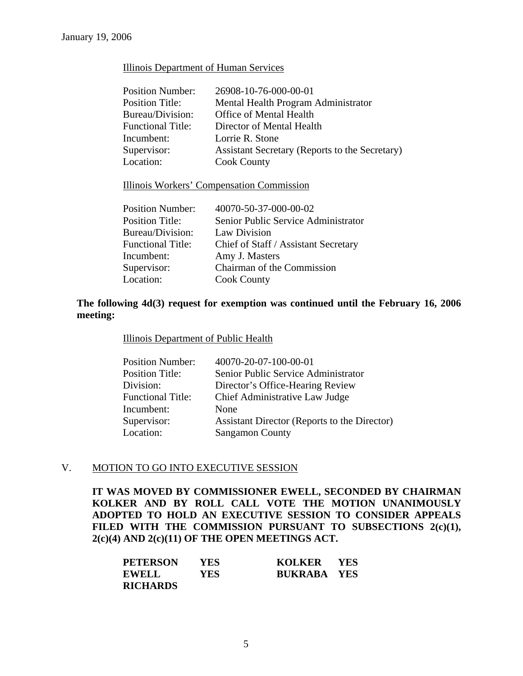### Illinois Department of Human Services

| <b>Position Number:</b>  | 26908-10-76-000-00-01                          |
|--------------------------|------------------------------------------------|
| <b>Position Title:</b>   | Mental Health Program Administrator            |
| Bureau/Division:         | Office of Mental Health                        |
| <b>Functional Title:</b> | Director of Mental Health                      |
| Incumbent:               | Lorrie R. Stone                                |
| Supervisor:              | Assistant Secretary (Reports to the Secretary) |
| Location:                | <b>Cook County</b>                             |

#### Illinois Workers' Compensation Commission

| <b>Position Number:</b>  | 40070-50-37-000-00-02                |
|--------------------------|--------------------------------------|
| <b>Position Title:</b>   | Senior Public Service Administrator  |
| Bureau/Division:         | Law Division                         |
| <b>Functional Title:</b> | Chief of Staff / Assistant Secretary |
| Incumbent:               | Amy J. Masters                       |
| Supervisor:              | Chairman of the Commission           |
| Location:                | <b>Cook County</b>                   |

## **The following 4d(3) request for exemption was continued until the February 16, 2006 meeting:**

#### Illinois Department of Public Health

| <b>Position Number:</b>  | 40070-20-07-100-00-01                        |
|--------------------------|----------------------------------------------|
| <b>Position Title:</b>   | Senior Public Service Administrator          |
| Division:                | Director's Office-Hearing Review             |
| <b>Functional Title:</b> | Chief Administrative Law Judge               |
| Incumbent:               | None                                         |
| Supervisor:              | Assistant Director (Reports to the Director) |
| Location:                | <b>Sangamon County</b>                       |
|                          |                                              |

## V. MOTION TO GO INTO EXECUTIVE SESSION

**IT WAS MOVED BY COMMISSIONER EWELL, SECONDED BY CHAIRMAN KOLKER AND BY ROLL CALL VOTE THE MOTION UNANIMOUSLY ADOPTED TO HOLD AN EXECUTIVE SESSION TO CONSIDER APPEALS**  FILED WITH THE COMMISSION PURSUANT TO SUBSECTIONS 2(c)(1), **2(c)(4) AND 2(c)(11) OF THE OPEN MEETINGS ACT.** 

| <b>PETERSON</b> | YES        | KOLKER YES         |  |
|-----------------|------------|--------------------|--|
| <b>EWELL</b>    | <b>YES</b> | <b>BUKRABA YES</b> |  |
| <b>RICHARDS</b> |            |                    |  |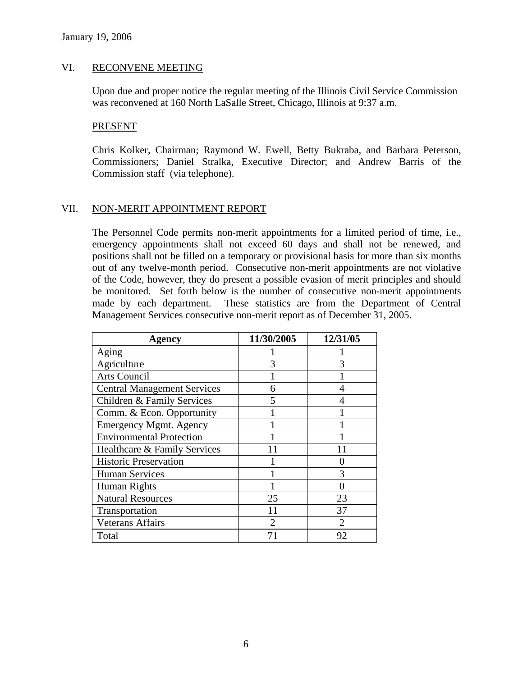### VI. RECONVENE MEETING

Upon due and proper notice the regular meeting of the Illinois Civil Service Commission was reconvened at 160 North LaSalle Street, Chicago, Illinois at 9:37 a.m.

#### PRESENT

Chris Kolker, Chairman; Raymond W. Ewell, Betty Bukraba, and Barbara Peterson, Commissioners; Daniel Stralka, Executive Director; and Andrew Barris of the Commission staff (via telephone).

## VII. NON-MERIT APPOINTMENT REPORT

The Personnel Code permits non-merit appointments for a limited period of time, i.e., emergency appointments shall not exceed 60 days and shall not be renewed, and positions shall not be filled on a temporary or provisional basis for more than six months out of any twelve-month period. Consecutive non-merit appointments are not violative of the Code, however, they do present a possible evasion of merit principles and should be monitored. Set forth below is the number of consecutive non-merit appointments made by each department. These statistics are from the Department of Central Management Services consecutive non-merit report as of December 31, 2005.

| Agency                             | 11/30/2005 | 12/31/05 |
|------------------------------------|------------|----------|
| Aging                              |            |          |
| Agriculture                        |            |          |
| <b>Arts Council</b>                |            |          |
| <b>Central Management Services</b> | 6          |          |
| Children & Family Services         | 5          |          |
| Comm. & Econ. Opportunity          |            |          |
| <b>Emergency Mgmt. Agency</b>      |            |          |
| <b>Environmental Protection</b>    |            |          |
| Healthcare & Family Services       |            |          |
| <b>Historic Preservation</b>       |            |          |
| <b>Human Services</b>              |            | 3        |
| Human Rights                       |            |          |
| <b>Natural Resources</b>           | 25         | 23       |
| Transportation                     |            | 37       |
| <b>Veterans Affairs</b>            | 2          | 2        |
| Total                              |            | 92       |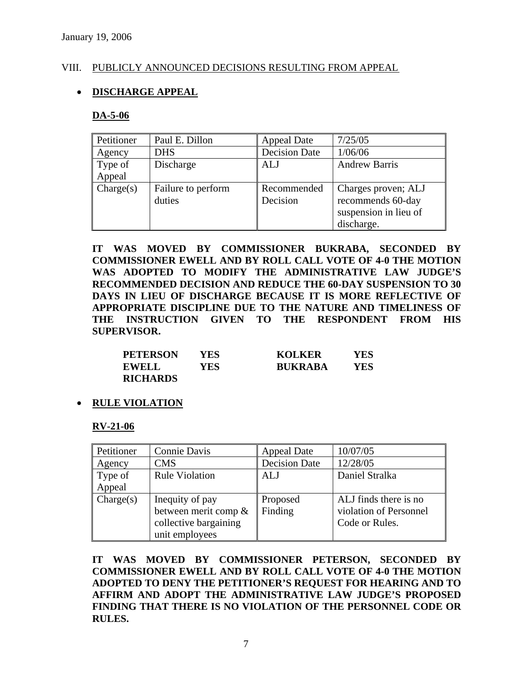## VIII. PUBLICLY ANNOUNCED DECISIONS RESULTING FROM APPEAL

## • **DISCHARGE APPEAL**

### **DA-5-06**

| Petitioner        | Paul E. Dillon               | <b>Appeal Date</b>      | 7/25/05                                                                         |
|-------------------|------------------------------|-------------------------|---------------------------------------------------------------------------------|
| Agency            | <b>DHS</b>                   | <b>Decision Date</b>    | 1/06/06                                                                         |
| Type of<br>Appeal | Discharge                    | <b>ALJ</b>              | <b>Andrew Barris</b>                                                            |
| Change(s)         | Failure to perform<br>duties | Recommended<br>Decision | Charges proven; ALJ<br>recommends 60-day<br>suspension in lieu of<br>discharge. |

**IT WAS MOVED BY COMMISSIONER BUKRABA, SECONDED BY COMMISSIONER EWELL AND BY ROLL CALL VOTE OF 4-0 THE MOTION WAS ADOPTED TO MODIFY THE ADMINISTRATIVE LAW JUDGE'S RECOMMENDED DECISION AND REDUCE THE 60-DAY SUSPENSION TO 30 DAYS IN LIEU OF DISCHARGE BECAUSE IT IS MORE REFLECTIVE OF APPROPRIATE DISCIPLINE DUE TO THE NATURE AND TIMELINESS OF THE INSTRUCTION GIVEN TO THE RESPONDENT FROM HIS SUPERVISOR.** 

| <b>PETERSON</b> | YES | <b>KOLKER</b>  | YES |
|-----------------|-----|----------------|-----|
| <b>EWELL</b>    | YES | <b>BUKRABA</b> | YES |
| <b>RICHARDS</b> |     |                |     |

• **RULE VIOLATION**

#### **RV-21-06**

| Petitioner | Connie Davis          | <b>Appeal Date</b>   | 10/07/05               |
|------------|-----------------------|----------------------|------------------------|
| Agency     | <b>CMS</b>            | <b>Decision Date</b> | 12/28/05               |
| Type of    | <b>Rule Violation</b> | ALJ                  | Daniel Stralka         |
| Appeal     |                       |                      |                        |
| Change(s)  | Inequity of pay       | Proposed             | ALJ finds there is no  |
|            | between merit comp &  | Finding              | violation of Personnel |
|            | collective bargaining |                      | Code or Rules.         |
|            | unit employees        |                      |                        |

**IT WAS MOVED BY COMMISSIONER PETERSON, SECONDED BY COMMISSIONER EWELL AND BY ROLL CALL VOTE OF 4-0 THE MOTION ADOPTED TO DENY THE PETITIONER'S REQUEST FOR HEARING AND TO AFFIRM AND ADOPT THE ADMINISTRATIVE LAW JUDGE'S PROPOSED FINDING THAT THERE IS NO VIOLATION OF THE PERSONNEL CODE OR RULES.**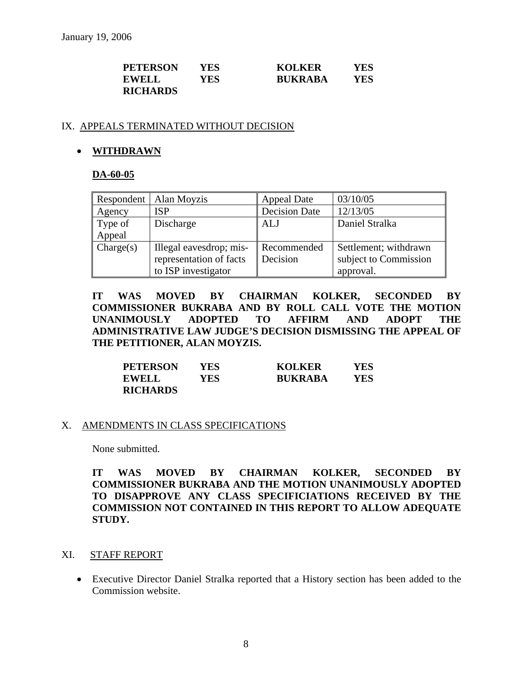| <b>PETERSON</b> | YES | <b>KOLKER</b>  | YES |
|-----------------|-----|----------------|-----|
| <b>EWELL</b>    | YES | <b>BUKRABA</b> | YES |
| <b>RICHARDS</b> |     |                |     |

### IX. APPEALS TERMINATED WITHOUT DECISION

## • **WITHDRAWN**

## **DA-60-05**

|                   | Respondent   Alan Moyzis                                                  | <b>Appeal Date</b>      | 03/10/05                                                    |
|-------------------|---------------------------------------------------------------------------|-------------------------|-------------------------------------------------------------|
| Agency            | <b>ISP</b>                                                                | <b>Decision Date</b>    | 12/13/05                                                    |
| Type of<br>Appeal | Discharge                                                                 | ALJ                     | Daniel Stralka                                              |
| Change(s)         | Illegal eavesdrop; mis-<br>representation of facts<br>to ISP investigator | Recommended<br>Decision | Settlement; withdrawn<br>subject to Commission<br>approval. |

**IT WAS MOVED BY CHAIRMAN KOLKER, SECONDED BY COMMISSIONER BUKRABA AND BY ROLL CALL VOTE THE MOTION UNANIMOUSLY ADOPTED TO AFFIRM AND ADOPT THE ADMINISTRATIVE LAW JUDGE'S DECISION DISMISSING THE APPEAL OF THE PETITIONER, ALAN MOYZIS.** 

| <b>PETERSON</b> | YES | <b>KOLKER</b>  | YES |
|-----------------|-----|----------------|-----|
| <b>EWELL</b>    | YES | <b>BUKRABA</b> | YES |
| <b>RICHARDS</b> |     |                |     |

#### X. AMENDMENTS IN CLASS SPECIFICATIONS

None submitted.

**IT WAS MOVED BY CHAIRMAN KOLKER, SECONDED BY COMMISSIONER BUKRABA AND THE MOTION UNANIMOUSLY ADOPTED TO DISAPPROVE ANY CLASS SPECIFICIATIONS RECEIVED BY THE COMMISSION NOT CONTAINED IN THIS REPORT TO ALLOW ADEQUATE STUDY.** 

## XI. STAFF REPORT

• Executive Director Daniel Stralka reported that a History section has been added to the Commission website.